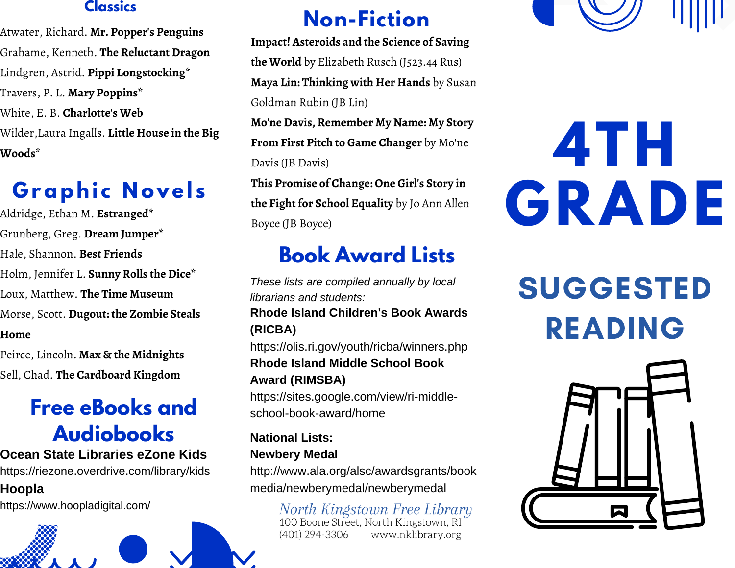## **Classics**

Atwater, Richard. **Mr. Popper's Penguins** Grahame, Kenneth. **The Reluctant Dragon** Lindgren, Astrid. **Pippi Longstocking\*** Travers, P. L. **Mary Poppins\*** White, E. B. **Charlotte's Web** Wilder,Laura Ingalls. **Little House in the Big Woods\***

# **G raphi c N ovel s**

Aldridge, Ethan M. **Estranged\*** Grunberg, Greg. **Dream Jumper\*** Hale, Shannon. **Best Friends** Holm, Jennifer L. **Sunny Rolls the Dice\*** Loux, Matthew. **The Time Museum** Morse, Scott. **Dugout: the Zombie Steals Home**

Peirce, Lincoln. **Max & the Midnights** Sell, Chad. **The Cardboard Kingdom**

# **Free eBooks and Audiobooks**

**Ocean State Libraries eZone Kids** https://riezone.overdrive.com/library/kids **Hoopla**

https://www.hoopladigital.com/



# **Non-Fiction**

**Impact! Asteroids and the Science of Saving the World** by Elizabeth Rusch (J523.44 Rus) **Maya Lin: Thinking with Her Hands** by Susan Goldman Rubin (JB Lin)

**Mo'ne Davis, Remember My Name: My Story From First Pitch to Game Changer** by Mo'ne Davis (JB Davis)

**This Promise of Change: One Girl's Story in the Fight for School Equality** by Jo Ann Allen Boyce (JB Boyce)

# **Book Award Lists**

*These lists are compiled annually by local librarians and students:* **Rhode Island Children's Book Awards (RICBA)** https://olis.ri.gov/youth/ricba/winners.php **Rhode Island Middle School Book Award (RIMSBA)** https://sites.google.com/view/ri-middleschool-book-award/home

**National Lists: Newbery Medal** http://www.ala.org/alsc/awardsgrants/book media/newberymedal/newberymedal

> North Kingstown Free Library<br>100 Boone Street, North Kingstown, RI (401) 294-3306 www.nklibrary.org



# **4TH GRADE**

**SUGGESTED** READING